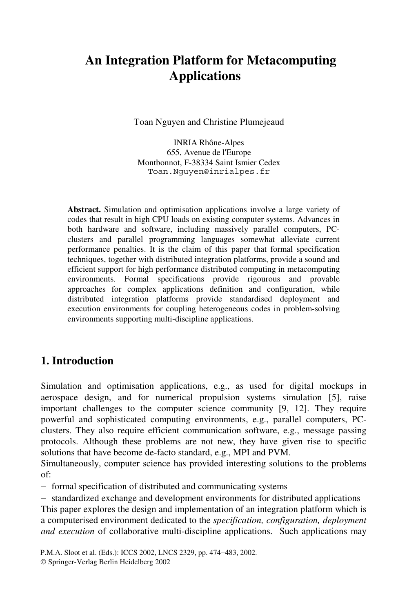# **An Integration Platform for Metacomputing Applications**

Toan Nguyen and Christine Plumejeaud

INRIA Rhône-Alpes 655, Avenue de l'Europe Montbonnot, F-38334 Saint Ismier Cedex Toan.Nguyen@inrialpes.fr

**Abstract.** Simulation and optimisation applications involve a large variety of codes that result in high CPU loads on existing computer systems. Advances in both hardware and software, including massively parallel computers, PCclusters and parallel programming languages somewhat alleviate current performance penalties. It is the claim of this paper that formal specification techniques, together with distributed integration platforms, provide a sound and efficient support for high performance distributed computing in metacomputing environments. Formal specifications provide rigourous and provable approaches for complex applications definition and configuration, while distributed integration platforms provide standardised deployment and execution environments for coupling heterogeneous codes in problem-solving environments supporting multi-discipline applications.

### **1. Introduction**

Simulation and optimisation applications, e.g., as used for digital mockups in aerospace design, and for numerical propulsion systems simulation [5], raise important challenges to the computer science community [9, 12]. They require powerful and sophisticated computing environments, e.g., parallel computers, PCclusters. They also require efficient communication software, e.g., message passing protocols. Although these problems are not new, they have given rise to specific solutions that have become de-facto standard, e.g., MPI and PVM.

Simultaneously, computer science has provided interesting solutions to the problems of:

- formal specification of distributed and communicating systems

 standardized exchange and development environments for distributed applications This paper explores the design and implementation of an integration platform which is a computerised environment dedicated to the *specification, configuration, deployment and execution* of collaborative multi-discipline applications. Such applications may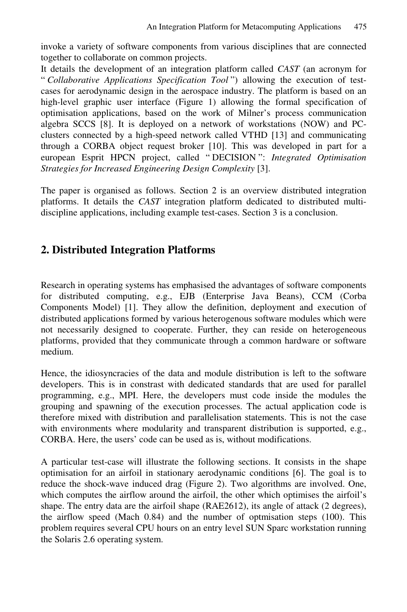invoke a variety of software components from various disciplines that are connected together to collaborate on common projects.

It details the development of an integration platform called *CAST* (an acronym for " *Collaborative Applications Specification Tool* ") allowing the execution of testcases for aerodynamic design in the aerospace industry. The platform is based on an high-level graphic user interface (Figure 1) allowing the formal specification of optimisation applications, based on the work of Milner's process communication algebra SCCS [8]. It is deployed on a network of workstations (NOW) and PCclusters connected by a high-speed network called VTHD [13] and communicating through a CORBA object request broker [10]. This was developed in part for a european Esprit HPCN project, called " DECISION ": *Integrated Optimisation Strategies for Increased Engineering Design Complexity* [3].

The paper is organised as follows. Section 2 is an overview distributed integration platforms. It details the *CAST* integration platform dedicated to distributed multidiscipline applications, including example test-cases. Section 3 is a conclusion.

# **2. Distributed Integration Platforms**

Research in operating systems has emphasised the advantages of software components for distributed computing, e.g., EJB (Enterprise Java Beans), CCM (Corba Components Model) [1]. They allow the definition, deployment and execution of distributed applications formed by various heterogenous software modules which were not necessarily designed to cooperate. Further, they can reside on heterogeneous platforms, provided that they communicate through a common hardware or software medium.

Hence, the idiosyncracies of the data and module distribution is left to the software developers. This is in constrast with dedicated standards that are used for parallel programming, e.g., MPI. Here, the developers must code inside the modules the grouping and spawning of the execution processes. The actual application code is therefore mixed with distribution and parallelisation statements. This is not the case with environments where modularity and transparent distribution is supported, e.g., CORBA. Here, the users' code can be used as is, without modifications.

A particular test-case will illustrate the following sections. It consists in the shape optimisation for an airfoil in stationary aerodynamic conditions [6]. The goal is to reduce the shock-wave induced drag (Figure 2). Two algorithms are involved. One, which computes the airflow around the airfoil, the other which optimises the airfoil's shape. The entry data are the airfoil shape (RAE2612), its angle of attack (2 degrees), the airflow speed (Mach 0.84) and the number of optmisation steps (100). This problem requires several CPU hours on an entry level SUN Sparc workstation running the Solaris 2.6 operating system.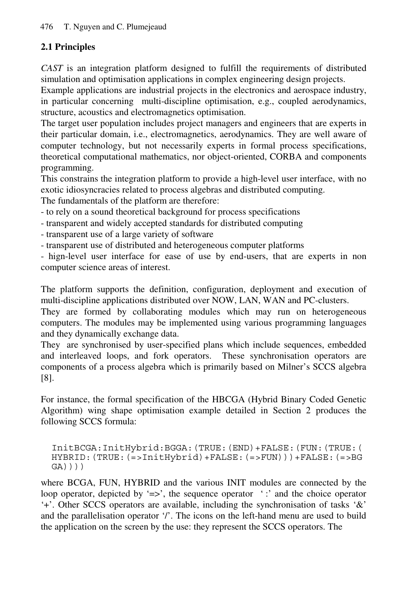### **2.1 Principles**

*CAST* is an integration platform designed to fulfill the requirements of distributed simulation and optimisation applications in complex engineering design projects.

Example applications are industrial projects in the electronics and aerospace industry, in particular concerning multi-discipline optimisation, e.g., coupled aerodynamics, structure, acoustics and electromagnetics optimisation.

The target user population includes project managers and engineers that are experts in their particular domain, i.e., electromagnetics, aerodynamics. They are well aware of computer technology, but not necessarily experts in formal process specifications, theoretical computational mathematics, nor object-oriented, CORBA and components programming.

This constrains the integration platform to provide a high-level user interface, with no exotic idiosyncracies related to process algebras and distributed computing.

The fundamentals of the platform are therefore:

- to rely on a sound theoretical background for process specifications

- transparent and widely accepted standards for distributed computing

- transparent use of a large variety of software

- transparent use of distributed and heterogeneous computer platforms

- hign-level user interface for ease of use by end-users, that are experts in non computer science areas of interest.

The platform supports the definition, configuration, deployment and execution of multi-discipline applications distributed over NOW, LAN, WAN and PC-clusters.

They are formed by collaborating modules which may run on heterogeneous computers. The modules may be implemented using various programming languages and they dynamically exchange data.

They are synchronised by user-specified plans which include sequences, embedded and interleaved loops, and fork operators. These synchronisation operators are components of a process algebra which is primarily based on Milner's SCCS algebra [8].

For instance, the formal specification of the HBCGA (Hybrid Binary Coded Genetic Algorithm) wing shape optimisation example detailed in Section 2 produces the following SCCS formula:

InitBCGA:InitHybrid:BGGA:(TRUE:(END)+FALSE:(FUN:(TRUE:( HYBRID:(TRUE:(=>InitHybrid)+FALSE:(=>FUN)))+FALSE:(=>BG GA))))

where BCGA, FUN, HYBRID and the various INIT modules are connected by the loop operator, depicted by  $\equiv$  >', the sequence operator  $\cdot$  :' and the choice operator '+'. Other SCCS operators are available, including the synchronisation of tasks '&' and the parallelisation operator '/'. The icons on the left-hand menu are used to build the application on the screen by the use: they represent the SCCS operators. The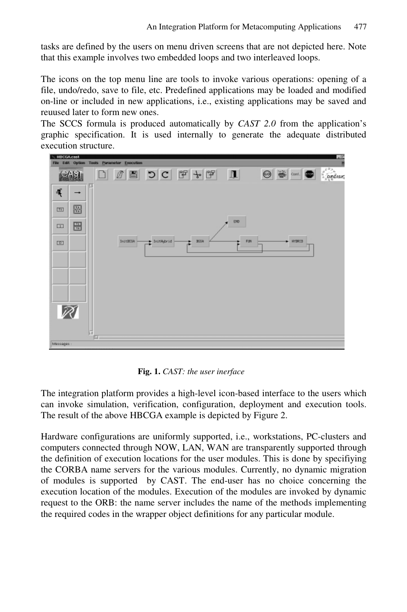tasks are defined by the users on menu driven screens that are not depicted here. Note that this example involves two embedded loops and two interleaved loops.

The icons on the top menu line are tools to invoke various operations: opening of a file, undo/redo, save to file, etc. Predefined applications may be loaded and modified on-line or included in new applications, i.e., existing applications may be saved and reuused later to form new ones.

The SCCS formula is produced automatically by *CAST 2.0* from the application's graphic specification. It is used internally to generate the adequate distributed execution structure.



**Fig. 1.** *CAST: the user inerface*

The integration platform provides a high-level icon-based interface to the users which can invoke simulation, verification, configuration, deployment and execution tools. The result of the above HBCGA example is depicted by Figure 2.

Hardware configurations are uniformly supported, i.e., workstations, PC-clusters and computers connected through NOW, LAN, WAN are transparently supported through the definition of execution locations for the user modules. This is done by specifiying the CORBA name servers for the various modules. Currently, no dynamic migration of modules is supported by CAST. The end-user has no choice concerning the execution location of the modules. Execution of the modules are invoked by dynamic request to the ORB: the name server includes the name of the methods implementing the required codes in the wrapper object definitions for any particular module.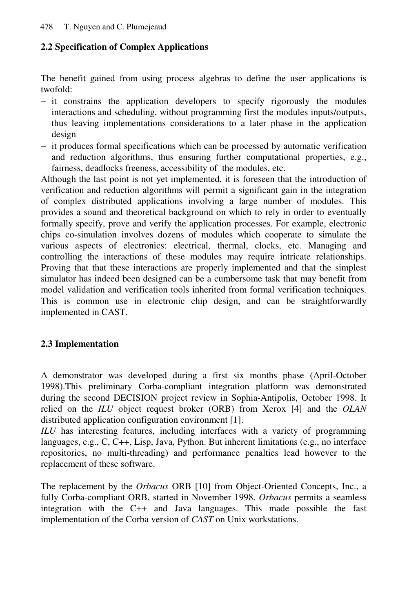#### **2.2 Specification of Complex Applications**

The benefit gained from using process algebras to define the user applications is twofold:

- $-$  it constrains the application developers to specify rigorously the modules interactions and scheduling, without programming first the modules inputs/outputs, thus leaving implementations considerations to a later phase in the application design
- it produces formal specifications which can be processed by automatic verification and reduction algorithms, thus ensuring further computational properties, e.g., fairness, deadlocks freeness, accessibility of the modules, etc.

Although the last point is not yet implemented, it is foreseen that the introduction of verification and reduction algorithms will permit a significant gain in the integration of complex distributed applications involving a large number of modules. This provides a sound and theoretical background on which to rely in order to eventually formally specify, prove and verify the application processes. For example, electronic chips co-simulation involves dozens of modules which cooperate to simulate the various aspects of electronics: electrical, thermal, clocks, etc. Managing and controlling the interactions of these modules may require intricate relationships. Proving that that these interactions are properly implemented and that the simplest simulator has indeed been designed can be a cumbersome task that may benefit from model validation and verification tools inherited from formal verification techniques. This is common use in electronic chip design, and can be straightforwardly implemented in CAST.

#### **2.3 Implementation**

A demonstrator was developed during a first six months phase (April-October 1998).This preliminary Corba-compliant integration platform was demonstrated during the second DECISION project review in Sophia-Antipolis, October 1998. It relied on the *ILU* object request broker (ORB) from Xerox [4] and the *OLAN* distributed application configuration environment [1].

*ILU* has interesting features, including interfaces with a variety of programming languages, e.g., C, C++, Lisp, Java, Python. But inherent limitations (e.g., no interface repositories, no multi-threading) and performance penalties lead however to the replacement of these software.

The replacement by the *Orbacus* ORB [10] from Object-Oriented Concepts, Inc., a fully Corba-compliant ORB, started in November 1998. *Orbacus* permits a seamless integration with the C++ and Java languages. This made possible the fast implementation of the Corba version of *CAST* on Unix workstations.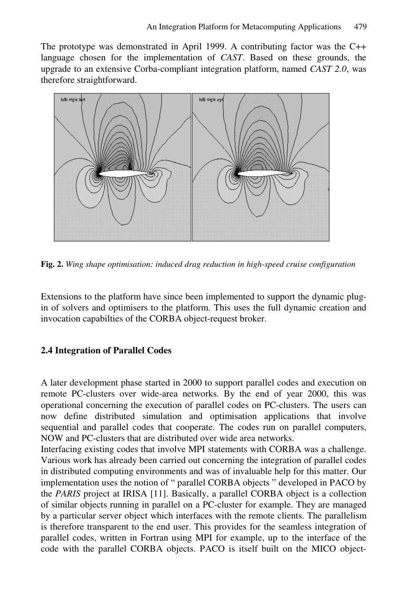The prototype was demonstrated in April 1999. A contributing factor was the C++ language chosen for the implementation of *CAST*. Based on these grounds, the upgrade to an extensive Corba-compliant integration platform, named *CAST 2.0*, was therefore straightforward.



**Fig. 2.** *Wing shape optimisation: induced drag reduction in high-speed cruise configuration*

Extensions to the platform have since been implemented to support the dynamic plugin of solvers and optimisers to the platform. This uses the full dynamic creation and invocation capabilties of the CORBA object-request broker.

#### **2.4 Integration of Parallel Codes**

A later development phase started in 2000 to support parallel codes and execution on remote PC-clusters over wide-area networks. By the end of year 2000, this was operational concerning the execution of parallel codes on PC-clusters. The users can now define distributed simulation and optimisation applications that involve sequential and parallel codes that cooperate. The codes run on parallel computers, NOW and PC-clusters that are distributed over wide area networks.

Interfacing existing codes that involve MPI statements with CORBA was a challenge. Various work has already been carried out concerning the integration of parallel codes in distributed computing environments and was of invaluable help for this matter. Our implementation uses the notion of " parallel CORBA objects " developed in PACO by the *PARIS* project at IRISA [11]. Basically, a parallel CORBA object is a collection of similar objects running in parallel on a PC-cluster for example. They are managed by a particular server object which interfaces with the remote clients. The parallelism is therefore transparent to the end user. This provides for the seamless integration of parallel codes, written in Fortran using MPI for example, up to the interface of the code with the parallel CORBA objects. PACO is itself built on the MICO object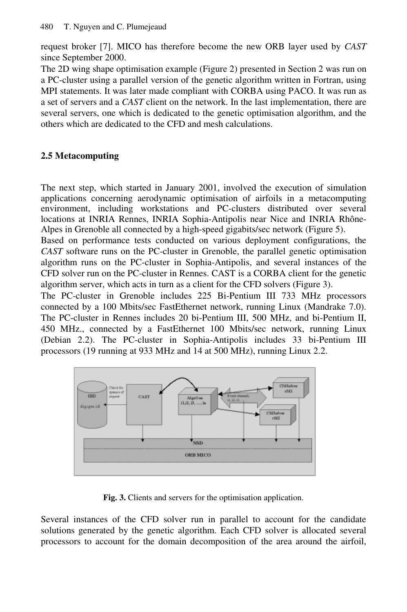request broker [7]. MICO has therefore become the new ORB layer used by *CAST* since September 2000.

The 2D wing shape optimisation example (Figure 2) presented in Section 2 was run on a PC-cluster using a parallel version of the genetic algorithm written in Fortran, using MPI statements. It was later made compliant with CORBA using PACO. It was run as a set of servers and a *CAST* client on the network. In the last implementation, there are several servers, one which is dedicated to the genetic optimisation algorithm, and the others which are dedicated to the CFD and mesh calculations.

### **2.5 Metacomputing**

The next step, which started in January 2001, involved the execution of simulation applications concerning aerodynamic optimisation of airfoils in a metacomputing environment, including workstations and PC-clusters distributed over several locations at INRIA Rennes, INRIA Sophia-Antipolis near Nice and INRIA Rhône-Alpes in Grenoble all connected by a high-speed gigabits/sec network (Figure 5).

Based on performance tests conducted on various deployment configurations, the *CAST* software runs on the PC-cluster in Grenoble, the parallel genetic optimisation algorithm runs on the PC-cluster in Sophia-Antipolis, and several instances of the CFD solver run on the PC-cluster in Rennes. CAST is a CORBA client for the genetic algorithm server, which acts in turn as a client for the CFD solvers (Figure 3).

The PC-cluster in Grenoble includes 225 Bi-Pentium III 733 MHz processors connected by a 100 Mbits/sec FastEthernet network, running Linux (Mandrake 7.0). The PC-cluster in Rennes includes 20 bi-Pentium III, 500 MHz, and bi-Pentium II, 450 MHz., connected by a FastEthernet 100 Mbits/sec network, running Linux (Debian 2.2). The PC-cluster in Sophia-Antipolis includes 33 bi-Pentium III processors (19 running at 933 MHz and 14 at 500 MHz), running Linux 2.2.



**Fig. 3.** Clients and servers for the optimisation application.

Several instances of the CFD solver run in parallel to account for the candidate solutions generated by the genetic algorithm. Each CFD solver is allocated several processors to account for the domain decomposition of the area around the airfoil,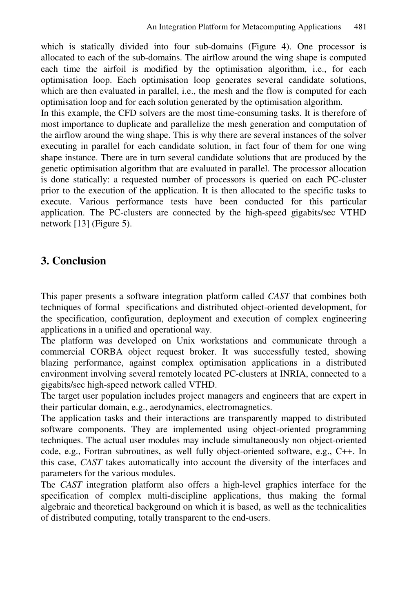which is statically divided into four sub-domains (Figure 4). One processor is allocated to each of the sub-domains. The airflow around the wing shape is computed each time the airfoil is modified by the optimisation algorithm, i.e., for each optimisation loop. Each optimisation loop generates several candidate solutions, which are then evaluated in parallel, i.e., the mesh and the flow is computed for each optimisation loop and for each solution generated by the optimisation algorithm.

In this example, the CFD solvers are the most time-consuming tasks. It is therefore of most importance to duplicate and parallelize the mesh generation and computation of the airflow around the wing shape. This is why there are several instances of the solver executing in parallel for each candidate solution, in fact four of them for one wing shape instance. There are in turn several candidate solutions that are produced by the genetic optimisation algorithm that are evaluated in parallel. The processor allocation is done statically: a requested number of processors is queried on each PC-cluster prior to the execution of the application. It is then allocated to the specific tasks to execute. Various performance tests have been conducted for this particular application. The PC-clusters are connected by the high-speed gigabits/sec VTHD network [13] (Figure 5).

## **3. Conclusion**

This paper presents a software integration platform called *CAST* that combines both techniques of formal specifications and distributed object-oriented development, for the specification, configuration, deployment and execution of complex engineering applications in a unified and operational way.

The platform was developed on Unix workstations and communicate through a commercial CORBA object request broker. It was successfully tested, showing blazing performance, against complex optimisation applications in a distributed environment involving several remotely located PC-clusters at INRIA, connected to a gigabits/sec high-speed network called VTHD.

The target user population includes project managers and engineers that are expert in their particular domain, e.g., aerodynamics, electromagnetics.

The application tasks and their interactions are transparently mapped to distributed software components. They are implemented using object-oriented programming techniques. The actual user modules may include simultaneously non object-oriented code, e.g., Fortran subroutines, as well fully object-oriented software, e.g., C++. In this case, *CAST* takes automatically into account the diversity of the interfaces and parameters for the various modules.

The *CAST* integration platform also offers a high-level graphics interface for the specification of complex multi-discipline applications, thus making the formal algebraic and theoretical background on which it is based, as well as the technicalities of distributed computing, totally transparent to the end-users.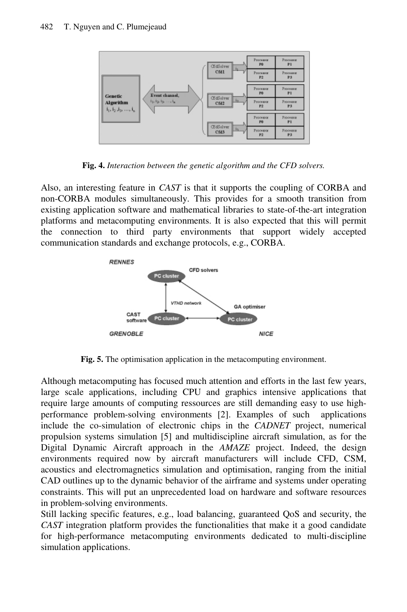

**Fig. 4.** *Interaction between the genetic algorithm and the CFD solvers.*

Also, an interesting feature in *CAST* is that it supports the coupling of CORBA and non-CORBA modules simultaneously. This provides for a smooth transition from existing application software and mathematical libraries to state-of-the-art integration platforms and metacomputing environments. It is also expected that this will permit the connection to third party environments that support widely accepted communication standards and exchange protocols, e.g., CORBA.



**Fig. 5.** The optimisation application in the metacomputing environment.

Although metacomputing has focused much attention and efforts in the last few years, large scale applications, including CPU and graphics intensive applications that require large amounts of computing ressources are still demanding easy to use highperformance problem-solving environments [2]. Examples of such applications include the co-simulation of electronic chips in the *CADNET* project, numerical propulsion systems simulation [5] and multidiscipline aircraft simulation, as for the Digital Dynamic Aircraft approach in the *AMAZE* project. Indeed, the design environments required now by aircraft manufacturers will include CFD, CSM, acoustics and electromagnetics simulation and optimisation, ranging from the initial CAD outlines up to the dynamic behavior of the airframe and systems under operating constraints. This will put an unprecedented load on hardware and software resources in problem-solving environments.

Still lacking specific features, e.g., load balancing, guaranteed QoS and security, the *CAST* integration platform provides the functionalities that make it a good candidate for high-performance metacomputing environments dedicated to multi-discipline simulation applications.